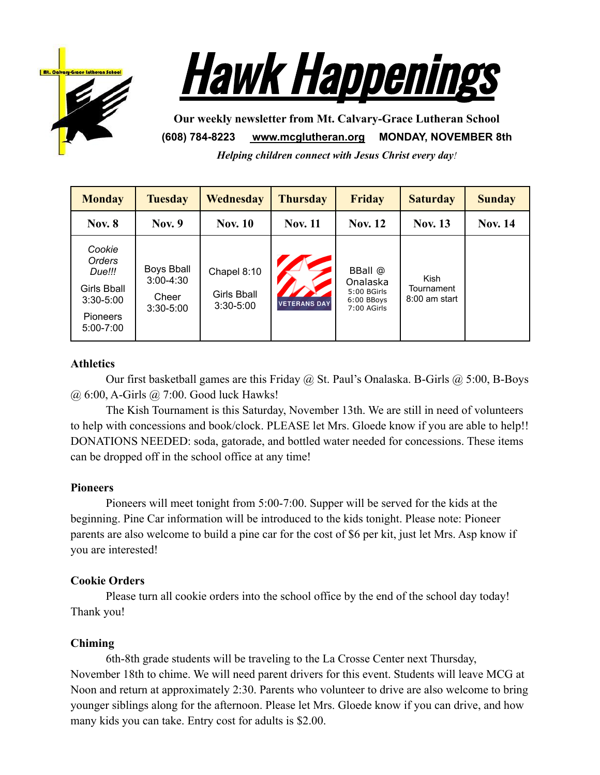



**Our weekly newsletter from Mt. Calvary-Grace Lutheran School (608) 784-8223 [www.mcglutheran.org](http://www.mcglutheran.org/) MONDAY, NOVEMBER 8th**

*Helping children connect with Jesus Christ every day!*

| <b>Monday</b>                                                                           | <b>Tuesday</b>                                               | Wednesday                                          | <b>Thursday</b>     | <b>Friday</b>                                                   | <b>Saturday</b>                              | <b>Sunday</b>  |
|-----------------------------------------------------------------------------------------|--------------------------------------------------------------|----------------------------------------------------|---------------------|-----------------------------------------------------------------|----------------------------------------------|----------------|
| <b>Nov. 8</b>                                                                           | <b>Nov. 9</b>                                                | <b>Nov. 10</b>                                     | <b>Nov. 11</b>      | <b>Nov. 12</b>                                                  | <b>Nov. 13</b>                               | <b>Nov. 14</b> |
| Cookie<br>Orders<br>Due!!!<br>Girls Bball<br>$3:30 - 5:00$<br>Pioneers<br>$5:00 - 7:00$ | <b>Boys Bball</b><br>$3:00 - 4:30$<br>Cheer<br>$3:30 - 5:00$ | Chapel 8:10<br><b>Girls Bball</b><br>$3:30 - 5:00$ | <b>VETERANS DAY</b> | BBall @<br>Onalaska<br>5:00 BGirls<br>6:00 BBoys<br>7:00 AGirls | <b>Kish</b><br>Tournament<br>$8:00$ am start |                |

# **Athletics**

Our first basketball games are this Friday  $\omega$  St. Paul's Onalaska. B-Girls  $\omega$  5:00, B-Boys @ 6:00, A-Girls @ 7:00. Good luck Hawks!

The Kish Tournament is this Saturday, November 13th. We are still in need of volunteers to help with concessions and book/clock. PLEASE let Mrs. Gloede know if you are able to help!! DONATIONS NEEDED: soda, gatorade, and bottled water needed for concessions. These items can be dropped off in the school office at any time!

### **Pioneers**

Pioneers will meet tonight from 5:00-7:00. Supper will be served for the kids at the beginning. Pine Car information will be introduced to the kids tonight. Please note: Pioneer parents are also welcome to build a pine car for the cost of \$6 per kit, just let Mrs. Asp know if you are interested!

# **Cookie Orders**

Please turn all cookie orders into the school office by the end of the school day today! Thank you!

### **Chiming**

6th-8th grade students will be traveling to the La Crosse Center next Thursday, November 18th to chime. We will need parent drivers for this event. Students will leave MCG at Noon and return at approximately 2:30. Parents who volunteer to drive are also welcome to bring younger siblings along for the afternoon. Please let Mrs. Gloede know if you can drive, and how many kids you can take. Entry cost for adults is \$2.00.